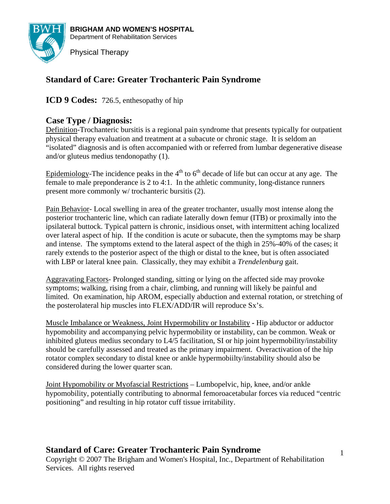

# **Standard of Care: Greater Trochanteric Pain Syndrome**

**ICD 9 Codes:** 726.5, enthesopathy of hip

# **Case Type / Diagnosis:**

Definition-Trochanteric bursitis is a regional pain syndrome that presents typically for outpatient physical therapy evaluation and treatment at a subacute or chronic stage. It is seldom an "isolated" diagnosis and is often accompanied with or referred from lumbar degenerative disease and/or gluteus medius tendonopathy (1).

Epidemiology-The incidence peaks in the  $4<sup>th</sup>$  to  $6<sup>th</sup>$  decade of life but can occur at any age. The female to male preponderance is 2 to 4:1. In the athletic community, long-distance runners present more commonly w/ trochanteric bursitis (2).

Pain Behavior- Local swelling in area of the greater trochanter, usually most intense along the posterior trochanteric line, which can radiate laterally down femur (ITB) or proximally into the ipsilateral buttock. Typical pattern is chronic, insidious onset, with intermittent aching localized over lateral aspect of hip. If the condition is acute or subacute, then the symptoms may be sharp and intense. The symptoms extend to the lateral aspect of the thigh in 25%-40% of the cases; it rarely extends to the posterior aspect of the thigh or distal to the knee, but is often associated with LBP or lateral knee pain. Classically, they may exhibit a *Trendelenburg* gait.

Aggravating Factors- Prolonged standing, sitting or lying on the affected side may provoke symptoms; walking, rising from a chair, climbing, and running will likely be painful and limited. On examination, hip AROM, especially abduction and external rotation, or stretching of the posterolateral hip muscles into FLEX/ADD/IR will reproduce Sx's.

Muscle Imbalance or Weakness, Joint Hypermobility or Instability **-** Hip abductor or adductor hypomobility and accompanying pelvic hypermobility or instability, can be common. Weak or inhibited gluteus medius secondary to L4/5 facilitation, SI or hip joint hypermobility/instability should be carefully assessed and treated as the primary impairment. Overactivation of the hip rotator complex secondary to distal knee or ankle hypermobiilty/instability should also be considered during the lower quarter scan.

Joint Hypomobility or Myofascial Restrictions – Lumbopelvic, hip, knee, and/or ankle hypomobility, potentially contributing to abnormal femoroacetabular forces via reduced "centric positioning" and resulting in hip rotator cuff tissue irritability.

# **Standard of Care: Greater Trochanteric Pain Syndrome**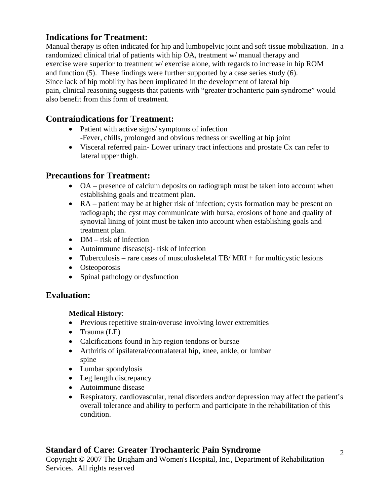# **Indications for Treatment:**

Manual therapy is often indicated for hip and lumbopelvic joint and soft tissue mobilization. In a randomized clinical trial of patients with hip OA, treatment w/ manual therapy and exercise were superior to treatment w/ exercise alone, with regards to increase in hip ROM and function (5). These findings were further supported by a case series study (6). Since lack of hip mobility has been implicated in the development of lateral hip pain, clinical reasoning suggests that patients with "greater trochanteric pain syndrome" would also benefit from this form of treatment.

# **Contraindications for Treatment:**

- Patient with active signs/ symptoms of infection -Fever, chills, prolonged and obvious redness or swelling at hip joint
- Visceral referred pain- Lower urinary tract infections and prostate Cx can refer to lateral upper thigh.

# **Precautions for Treatment:**

- OA presence of calcium deposits on radiograph must be taken into account when establishing goals and treatment plan.
- RA patient may be at higher risk of infection; cysts formation may be present on radiograph; the cyst may communicate with bursa; erosions of bone and quality of synovial lining of joint must be taken into account when establishing goals and treatment plan.
- DM risk of infection
- Autoimmune disease(s)- risk of infection
- Tuberculosis rare cases of musculoskeletal TB/MRI + for multicystic lesions
- Osteoporosis
- Spinal pathology or dysfunction

# **Evaluation:**

# **Medical History**:

- Previous repetitive strain/overuse involving lower extremities
- Trauma (LE)
- Calcifications found in hip region tendons or bursae
- Arthritis of ipsilateral/contralateral hip, knee, ankle, or lumbar spine
- Lumbar spondylosis
- Leg length discrepancy
- Autoimmune disease
- Respiratory, cardiovascular, renal disorders and/or depression may affect the patient's overall tolerance and ability to perform and participate in the rehabilitation of this condition.

# **Standard of Care: Greater Trochanteric Pain Syndrome**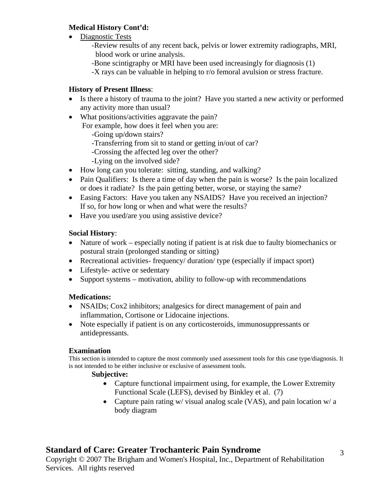# **Medical History Cont'd:**

- Diagnostic Tests
	- -Review results of any recent back, pelvis or lower extremity radiographs, MRI, blood work or urine analysis.
	- -Bone scintigraphy or MRI have been used increasingly for diagnosis (1)
	- -X rays can be valuable in helping to r/o femoral avulsion or stress fracture.

# **History of Present Illness**:

- Is there a history of trauma to the joint? Have you started a new activity or performed any activity more than usual?
- What positions/activities aggravate the pain?

For example, how does it feel when you are:

- -Going up/down stairs?
- -Transferring from sit to stand or getting in/out of car?
- -Crossing the affected leg over the other?
- -Lying on the involved side?
- How long can you tolerate: sitting, standing, and walking?
- Pain Qualifiers: Is there a time of day when the pain is worse? Is the pain localized or does it radiate? Is the pain getting better, worse, or staying the same?
- Easing Factors: Have you taken any NSAIDS? Have you received an injection? If so, for how long or when and what were the results?
- Have you used/are you using assistive device?

# **Social History**:

- Nature of work especially noting if patient is at risk due to faulty biomechanics or postural strain (prolonged standing or sitting)
- Recreational activities-frequency/ duration/ type (especially if impact sport)
- Lifestyle- active or sedentary
- Support systems motivation, ability to follow-up with recommendations

# **Medications:**

- NSAIDs; Cox2 inhibitors; analgesics for direct management of pain and inflammation, Cortisone or Lidocaine injections.
- Note especially if patient is on any corticosteroids, immunosuppressants or antidepressants.

# **Examination**

This section is intended to capture the most commonly used assessment tools for this case type/diagnosis. It is not intended to be either inclusive or exclusive of assessment tools.

# **Subjective:**

- Capture functional impairment using, for example, the Lower Extremity Functional Scale (LEFS), devised by Binkley et al. (7)
- Capture pain rating w/ visual analog scale (VAS), and pain location w/ a body diagram

# **Standard of Care: Greater Trochanteric Pain Syndrome**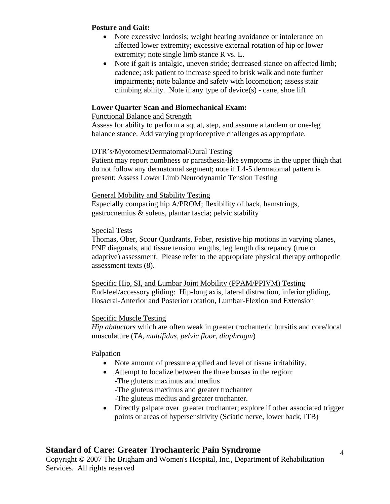#### **Posture and Gait:**

- Note excessive lordosis; weight bearing avoidance or intolerance on affected lower extremity; excessive external rotation of hip or lower extremity; note single limb stance R vs. L.
- Note if gait is antalgic, uneven stride; decreased stance on affected limb; cadence; ask patient to increase speed to brisk walk and note further impairments; note balance and safety with locomotion; assess stair climbing ability. Note if any type of device(s) - cane, shoe lift

#### **Lower Quarter Scan and Biomechanical Exam:**

#### Functional Balance and Strength

Assess for ability to perform a squat, step, and assume a tandem or one-leg balance stance. Add varying proprioceptive challenges as appropriate.

#### DTR's/Myotomes/Dermatomal/Dural Testing

Patient may report numbness or parasthesia-like symptoms in the upper thigh that do not follow any dermatomal segment; note if L4-5 dermatomal pattern is present; Assess Lower Limb Neurodynamic Tension Testing

#### General Mobility and Stability Testing

Especially comparing hip A/PROM; flexibility of back, hamstrings, gastrocnemius & soleus, plantar fascia; pelvic stability

#### Special Tests

Thomas, Ober, Scour Quadrants, Faber, resistive hip motions in varying planes, PNF diagonals, and tissue tension lengths, leg length discrepancy (true or adaptive) assessment. Please refer to the appropriate physical therapy orthopedic assessment texts (8).

Specific Hip, SI, and Lumbar Joint Mobility (PPAM/PPIVM) Testing End-feel/accessory gliding: Hip-long axis, lateral distraction, inferior gliding, Ilosacral-Anterior and Posterior rotation, Lumbar-Flexion and Extension

#### Specific Muscle Testing

*Hip abductors* which are often weak in greater trochanteric bursitis and core/local musculature (*TA, multifidus, pelvic floor, diaphragm*)

# Palpation

- Note amount of pressure applied and level of tissue irritability.
- Attempt to localize between the three bursas in the region:
	- -The gluteus maximus and medius
		- -The gluteus maximus and greater trochanter
		- -The gluteus medius and greater trochanter.
- Directly palpate over greater trochanter; explore if other associated trigger points or areas of hypersensitivity (Sciatic nerve, lower back, ITB)

# **Standard of Care: Greater Trochanteric Pain Syndrome**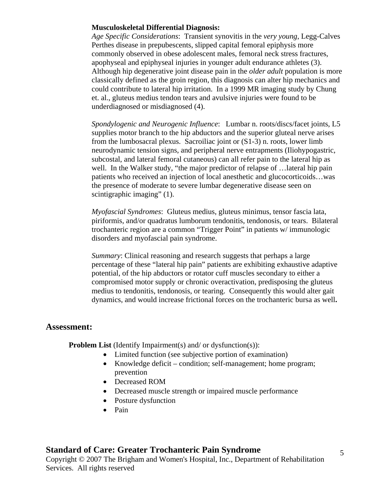# **Musculoskeletal Differential Diagnosis:**

*Age Specific Considerations*: Transient synovitis in the *very young*, Legg-Calves Perthes disease in prepubescents, slipped capital femoral epiphysis more commonly observed in obese adolescent males, femoral neck stress fractures, apophyseal and epiphyseal injuries in younger adult endurance athletes (3). Although hip degenerative joint disease pain in the *older adult* population is more classically defined as the groin region, this diagnosis can alter hip mechanics and could contribute to lateral hip irritation. In a 1999 MR imaging study by Chung et. al., gluteus medius tendon tears and avulsive injuries were found to be underdiagnosed or misdiagnosed (4).

*Spondylogenic and Neurogenic Influence*: Lumbar n. roots/discs/facet joints, L5 supplies motor branch to the hip abductors and the superior gluteal nerve arises from the lumbosacral plexus. Sacroiliac joint or (S1-3) n. roots, lower limb neurodynamic tension signs, and peripheral nerve entrapments (Iliohypogastric, subcostal, and lateral femoral cutaneous) can all refer pain to the lateral hip as well. In the Walker study, "the major predictor of relapse of …lateral hip pain patients who received an injection of local anesthetic and glucocorticoids…was the presence of moderate to severe lumbar degenerative disease seen on scintigraphic imaging" (1).

*Myofascial Syndromes*: Gluteus medius, gluteus minimus, tensor fascia lata, piriformis, and/or quadratus lumborum tendonitis, tendonosis, or tears. Bilateral trochanteric region are a common "Trigger Point" in patients w/ immunologic disorders and myofascial pain syndrome.

*Summary*: Clinical reasoning and research suggests that perhaps a large percentage of these "lateral hip pain" patients are exhibiting exhaustive adaptive potential, of the hip abductors or rotator cuff muscles secondary to either a compromised motor supply or chronic overactivation, predisposing the gluteus medius to tendonitis, tendonosis, or tearing. Consequently this would alter gait dynamics, and would increase frictional forces on the trochanteric bursa as well**.** 

# **Assessment:**

**Problem List** (Identify Impairment(s) and/ or dysfunction(s)):

- Limited function (see subjective portion of examination)
- Knowledge deficit condition; self-management; home program; prevention
- Decreased ROM
- Decreased muscle strength or impaired muscle performance
- Posture dysfunction
- Pain

# **Standard of Care: Greater Trochanteric Pain Syndrome**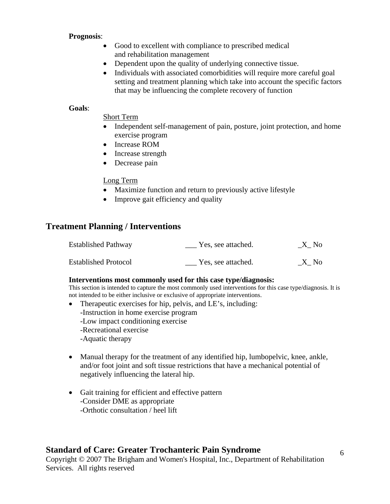#### **Prognosis**:

- Good to excellent with compliance to prescribed medical and rehabilitation management
- Dependent upon the quality of underlying connective tissue.
- Individuals with associated comorbidities will require more careful goal setting and treatment planning which take into account the specific factors that may be influencing the complete recovery of function

#### **Goals**:

Short Term

- Independent self-management of pain, posture, joint protection, and home exercise program
- Increase ROM
- Increase strength
- Decrease pain

# Long Term

- Maximize function and return to previously active lifestyle
- Improve gait efficiency and quality

# **Treatment Planning / Interventions**

| <b>Established Pathway</b>  | Yes, see attached. | X No |
|-----------------------------|--------------------|------|
| <b>Established Protocol</b> | Yes, see attached. | X No |

# **Interventions most commonly used for this case type/diagnosis:**

This section is intended to capture the most commonly used interventions for this case type/diagnosis. It is not intended to be either inclusive or exclusive of appropriate interventions.

- Therapeutic exercises for hip, pelvis, and LE's, including: -Instruction in home exercise program -Low impact conditioning exercise -Recreational exercise -Aquatic therapy
- Manual therapy for the treatment of any identified hip, lumbopelvic, knee, ankle, and/or foot joint and soft tissue restrictions that have a mechanical potential of negatively influencing the lateral hip.
- Gait training for efficient and effective pattern -Consider DME as appropriate -Orthotic consultation / heel lift

# **Standard of Care: Greater Trochanteric Pain Syndrome**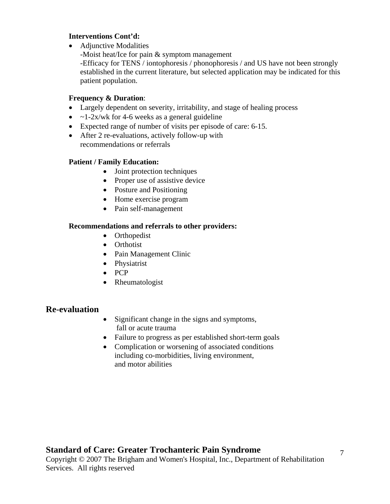#### **Interventions Cont'd:**

• Adjunctive Modalities

-Moist heat/Ice for pain & symptom management -Efficacy for TENS / iontophoresis / phonophoresis / and US have not been strongly established in the current literature, but selected application may be indicated for this patient population.

# **Frequency & Duration**:

- Largely dependent on severity, irritability, and stage of healing process
- $\sim$  1-2x/wk for 4-6 weeks as a general guideline
- Expected range of number of visits per episode of care: 6-15.
- After 2 re-evaluations, actively follow-up with recommendations or referrals

# **Patient / Family Education:**

- Joint protection techniques
- Proper use of assistive device
- Posture and Positioning
- Home exercise program
- Pain self-management

#### **Recommendations and referrals to other providers:**

- Orthopedist
- Orthotist
- Pain Management Clinic
- Physiatrist
- PCP
- Rheumatologist

# **Re-evaluation**

- Significant change in the signs and symptoms, fall or acute trauma
- Failure to progress as per established short-term goals
- Complication or worsening of associated conditions including co-morbidities, living environment, and motor abilities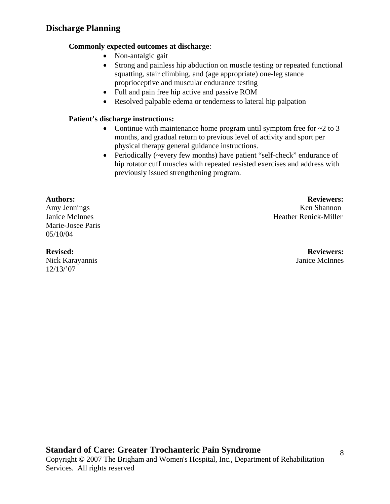# **Commonly expected outcomes at discharge**:

- Non-antalgic gait
- Strong and painless hip abduction on muscle testing or repeated functional squatting, stair climbing, and (age appropriate) one-leg stance proprioceptive and muscular endurance testing
- Full and pain free hip active and passive ROM
- Resolved palpable edema or tenderness to lateral hip palpation

# **Patient's discharge instructions:**

- Continue with maintenance home program until symptom free for  $\sim$  2 to 3 months, and gradual return to previous level of activity and sport per physical therapy general guidance instructions.
- Periodically (~every few months) have patient "self-check" endurance of hip rotator cuff muscles with repeated resisted exercises and address with previously issued strengthening program.

Marie-Josee Paris 05/10/04

Nick Karayannis Janice McInnes 12/13/'07

**Authors: Reviewers:**  Amy Jennings Ken Shannon Janice McInnes Heather Renick-Miller

**Revised: Reviewers:**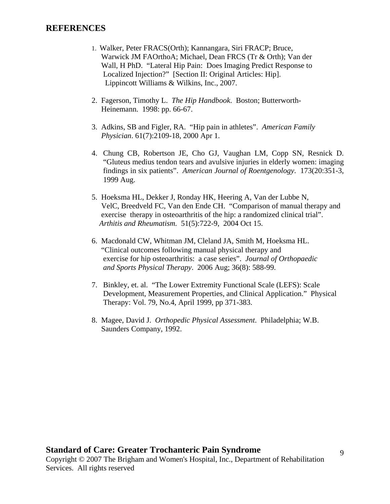# **REFERENCES**

- 1. Walker, Peter FRACS(Orth); Kannangara, Siri FRACP; Bruce, Warwick JM FAOrthoA; Michael, Dean FRCS (Tr & Orth); Van der Wall, H PhD. "Lateral Hip Pain: Does Imaging Predict Response to Localized Injection?" [Section II: Original Articles: Hip]. Lippincott Williams & Wilkins, Inc., 2007.
- 2. Fagerson, Timothy L. *The Hip Handbook*. Boston; Butterworth- Heinemann. 1998: pp. 66-67.
- 3. Adkins, SB and Figler, RA. "Hip pain in athletes". *American Family Physician*. 61(7):2109-18, 2000 Apr 1.
- 4. Chung CB, Robertson JE, Cho GJ, Vaughan LM, Copp SN, Resnick D. "Gluteus medius tendon tears and avulsive injuries in elderly women: imaging findings in six patients". *American Journal of Roentgenology*. 173(20:351-3, 1999 Aug.
- 5. Hoeksma HL, Dekker J, Ronday HK, Heering A, Van der Lubbe N, VelC, Breedveld FC, Van den Ende CH. "Comparison of manual therapy and exercise therapy in osteoarthritis of the hip: a randomized clinical trial". *Arthitis and Rheumatism.* 51(5):722-9, 2004 Oct 15.
- 6. Macdonald CW, Whitman JM, Cleland JA, Smith M, Hoeksma HL. "Clinical outcomes following manual physical therapy and exercise for hip osteoarthritis: a case series". *Journal of Orthopaedic and Sports Physical Therapy*. 2006 Aug; 36(8): 588-99.
- 7. Binkley, et. al. "The Lower Extremity Functional Scale (LEFS): Scale Development, Measurement Properties, and Clinical Application." Physical Therapy: Vol. 79, No.4, April 1999, pp 371-383.
- 8. Magee, David J. *Orthopedic Physical Assessment*. Philadelphia; W.B. Saunders Company, 1992.